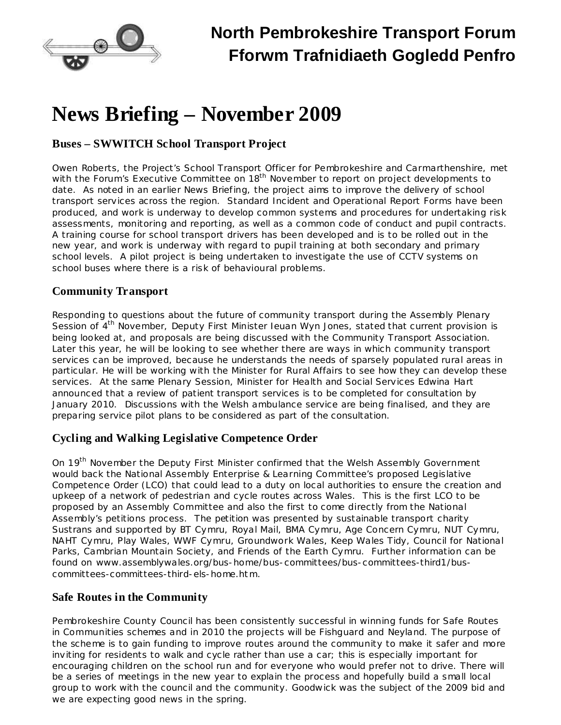

# **News Briefing – November 2009**

## **Buses – SWWITCH School Transport Project**

Owen Roberts, the Project's School Transport Officer for Pembrokeshire and Carmarthenshire, met with the Forum's Executive Committee on 18<sup>th</sup> November to report on project developments to date. As noted in an earlier News Briefing, the project aims to improve the delivery of school transport services across the region. Standard Incident and Operational Report Forms have been produced, and work is underway to develop common systems and procedures for undertaking risk assessments, monitoring and reporting, as well as a common code of conduct and pupil contracts. A training course for school transport drivers has been developed and is to be rolled out in the new year, and work is underway with regard to pupil training at both secondary and primary school levels. A pilot project is being undertaken to investigate the use of CCTV systems on school buses where there is a risk of behavioural problems.

### **Community Transport**

Responding to questions about the future of community transport during the Assembly Plenary Session of 4<sup>th</sup> November, Deputy First Minister Ieuan Wyn Jones, stated that current provision is being looked at, and proposals are being discussed with the Community Transport Association. Later this year, he will be looking to see whether there are ways in which community transport services can be improved, because he understands the needs of sparsely populated rural areas in particular. He will be working with the Minister for Rural Affairs to see how they can develop these services. At the same Plenary Session, Minister for Health and Social Services Edwina Hart announced that a review of patient transport services is to be completed for consultation by January 2010. Discussions with the Welsh ambulance service are being finalised, and they are preparing service pilot plans to be considered as part of the consultation.

### **Cycling and Walking Legislative Competence Order**

On 19<sup>th</sup> November the Deputy First Minister confirmed that the Welsh Assembly Government would back the National Assembly Enterprise & Learning Committee's proposed Legislative Competence Order (LCO) that could lead to a duty on local authorities to ensure the creation and upkeep of a network of pedestrian and cycle routes across Wales. This is the first LCO to be proposed by an Assembly Committee and also the first to come directly from the National Assembly's petitions process. The petition was presented by sustainable transport charity Sustrans and supported by BT Cymru, Royal Mail, BMA Cymru, Age Concern Cymru, NUT Cymru, NAHT Cymru, Play Wales, WWF Cymru, Groundwork Wales, Keep Wales Tidy, Council for National Parks, Cambrian Mountain Society, and Friends of the Earth Cymru. Further information can be found on [www.assemblywales.org/bus-home/bus-committees/bus-committees-third1/bus](http://www.assemblywales.org/bus-home/bus-committees/bus-committees-third1/bus-committees-committees-third-els-home.htm)[committees-committees-third-els-home.htm](http://www.assemblywales.org/bus-home/bus-committees/bus-committees-third1/bus-committees-committees-third-els-home.htm).

### **Safe Routes in the Community**

Pembrokeshire County Council has been consistently successful in winning funds for Safe Routes in Communities schemes and in 2010 the projects will be Fishguard and Neyland. The purpose of the scheme is to gain funding to improve routes around the community to make it safer and more inviting for residents to walk and cycle rather than use a car; this is especially important for encouraging children on the school run and for everyone who would prefer not to drive. There will be a series of meetings in the new year to explain the process and hopefully build a small local group to work with the council and the community. Goodwick was the subject of the 2009 bid and we are expecting good news in the spring.